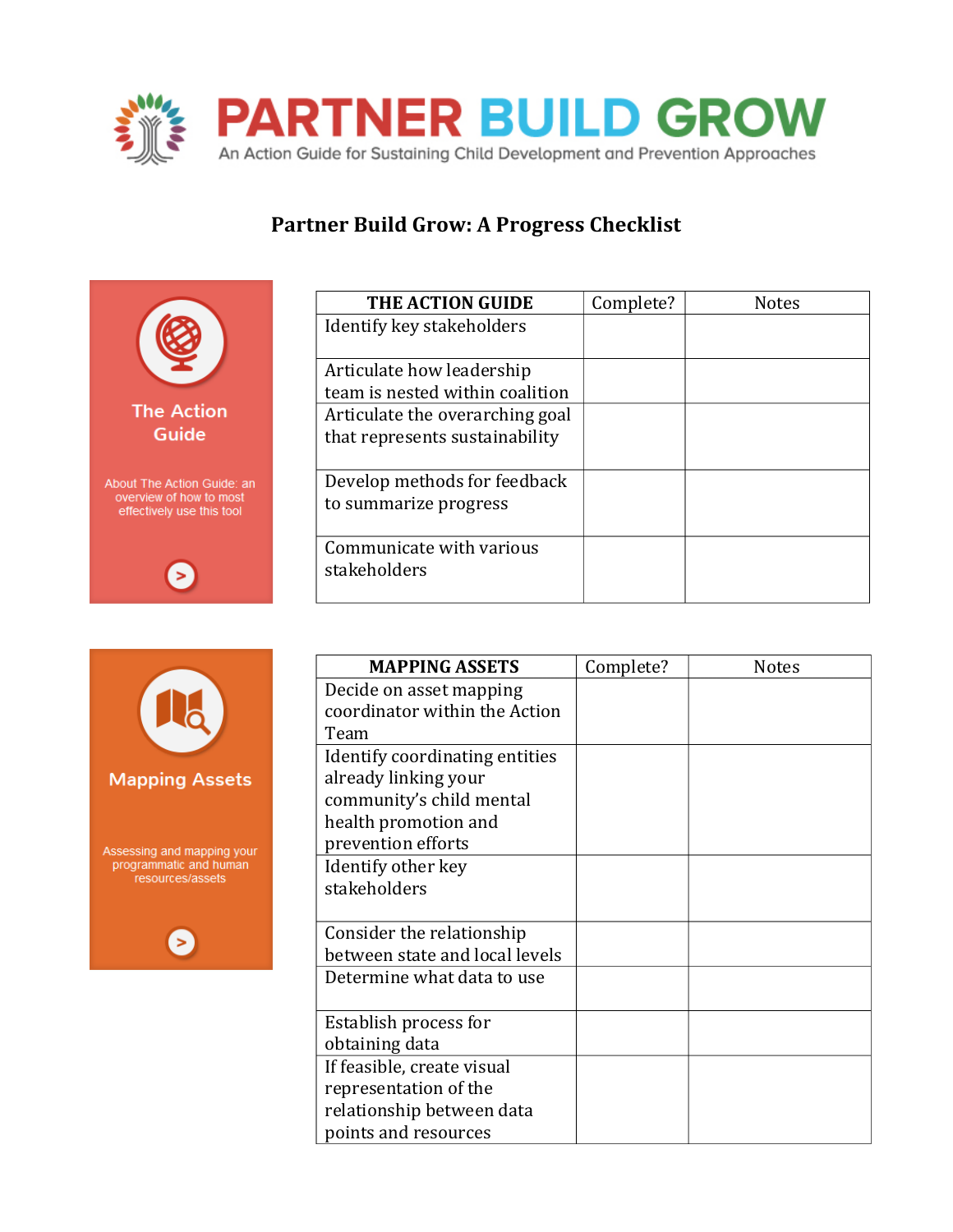

## Partner Build Grow: A Progress Checklist



| <b>THE ACTION GUIDE</b>         | Complete? | <b>Notes</b> |
|---------------------------------|-----------|--------------|
| Identify key stakeholders       |           |              |
|                                 |           |              |
| Articulate how leadership       |           |              |
| team is nested within coalition |           |              |
| Articulate the overarching goal |           |              |
| that represents sustainability  |           |              |
|                                 |           |              |
| Develop methods for feedback    |           |              |
| to summarize progress           |           |              |
|                                 |           |              |
| Communicate with various        |           |              |
| stakeholders                    |           |              |
|                                 |           |              |



| <b>MAPPING ASSETS</b>          | Complete?                     | <b>Notes</b> |
|--------------------------------|-------------------------------|--------------|
| Decide on asset mapping        |                               |              |
|                                |                               |              |
| Team                           |                               |              |
| Identify coordinating entities |                               |              |
| already linking your           |                               |              |
| community's child mental       |                               |              |
| health promotion and           |                               |              |
| prevention efforts             |                               |              |
| Identify other key             |                               |              |
| stakeholders                   |                               |              |
|                                |                               |              |
| Consider the relationship      |                               |              |
| between state and local levels |                               |              |
| Determine what data to use     |                               |              |
|                                |                               |              |
| Establish process for          |                               |              |
| obtaining data                 |                               |              |
| If feasible, create visual     |                               |              |
| representation of the          |                               |              |
| relationship between data      |                               |              |
| points and resources           |                               |              |
|                                | coordinator within the Action |              |